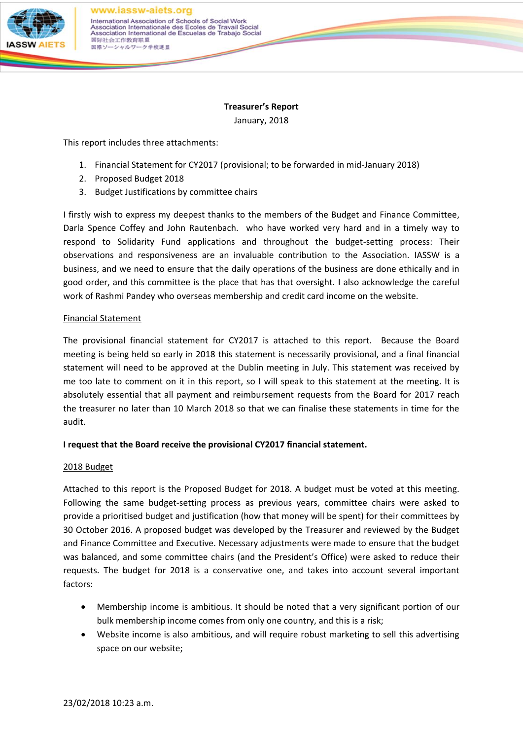

**Treasurer's Report** January, 2018

This report includes three attachments:

- 1. Financial Statement for CY2017 (provisional; to be forwarded in mid-January 2018)
- 2. Proposed Budget 2018
- 3. Budget Justifications by committee chairs

I firstly wish to express my deepest thanks to the members of the Budget and Finance Committee, Darla Spence Coffey and John Rautenbach. who have worked very hard and in a timely way to respond to Solidarity Fund applications and throughout the budget-setting process: Their observations and responsiveness are an invaluable contribution to the Association. IASSW is a business, and we need to ensure that the daily operations of the business are done ethically and in good order, and this committee is the place that has that oversight. I also acknowledge the careful work of Rashmi Pandey who overseas membership and credit card income on the website.

## Financial Statement

The provisional financial statement for CY2017 is attached to this report. Because the Board meeting is being held so early in 2018 this statement is necessarily provisional, and a final financial statement will need to be approved at the Dublin meeting in July. This statement was received by me too late to comment on it in this report, so I will speak to this statement at the meeting. It is absolutely essential that all payment and reimbursement requests from the Board for 2017 reach the treasurer no later than 10 March 2018 so that we can finalise these statements in time for the audit.

## **I request that the Board receive the provisional CY2017 financial statement.**

#### 2018 Budget

Attached to this report is the Proposed Budget for 2018. A budget must be voted at this meeting. Following the same budget-setting process as previous years, committee chairs were asked to provide a prioritised budget and justification (how that money will be spent) for their committees by 30 October 2016. A proposed budget was developed by the Treasurer and reviewed by the Budget and Finance Committee and Executive. Necessary adjustments were made to ensure that the budget was balanced, and some committee chairs (and the President's Office) were asked to reduce their requests. The budget for 2018 is a conservative one, and takes into account several important factors:

- Membership income is ambitious. It should be noted that a very significant portion of our bulk membership income comes from only one country, and this is a risk;
- Website income is also ambitious, and will require robust marketing to sell this advertising space on our website;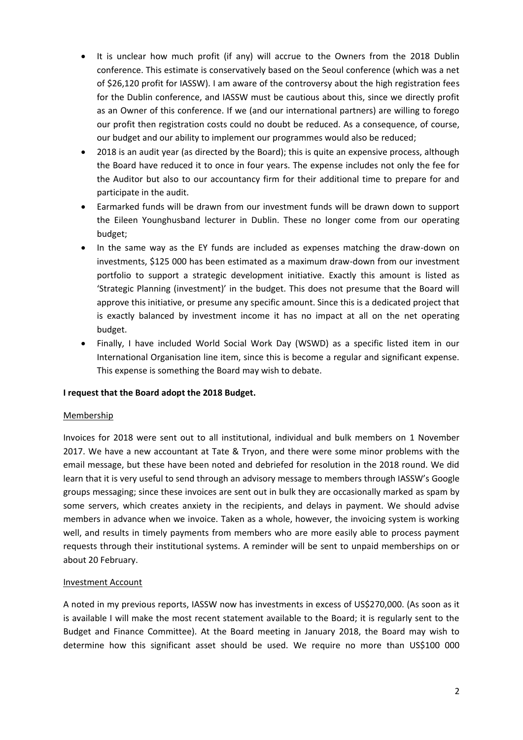- It is unclear how much profit (if any) will accrue to the Owners from the 2018 Dublin conference. This estimate is conservatively based on the Seoul conference (which was a net of \$26,120 profit for IASSW). I am aware of the controversy about the high registration fees for the Dublin conference, and IASSW must be cautious about this, since we directly profit as an Owner of this conference. If we (and our international partners) are willing to forego our profit then registration costs could no doubt be reduced. As a consequence, of course, our budget and our ability to implement our programmes would also be reduced;
- 2018 is an audit year (as directed by the Board); this is quite an expensive process, although the Board have reduced it to once in four years. The expense includes not only the fee for the Auditor but also to our accountancy firm for their additional time to prepare for and participate in the audit.
- Earmarked funds will be drawn from our investment funds will be drawn down to support the Eileen Younghusband lecturer in Dublin. These no longer come from our operating budget;
- In the same way as the EY funds are included as expenses matching the draw-down on investments, \$125 000 has been estimated as a maximum draw-down from our investment portfolio to support a strategic development initiative. Exactly this amount is listed as 'Strategic Planning (investment)' in the budget. This does not presume that the Board will approve this initiative, or presume any specific amount. Since this is a dedicated project that is exactly balanced by investment income it has no impact at all on the net operating budget.
- Finally, I have included World Social Work Day (WSWD) as a specific listed item in our International Organisation line item, since this is become a regular and significant expense. This expense is something the Board may wish to debate.

#### **I request that the Board adopt the 2018 Budget.**

#### Membership

Invoices for 2018 were sent out to all institutional, individual and bulk members on 1 November 2017. We have a new accountant at Tate & Tryon, and there were some minor problems with the email message, but these have been noted and debriefed for resolution in the 2018 round. We did learn that it is very useful to send through an advisory message to members through IASSW's Google groups messaging; since these invoices are sent out in bulk they are occasionally marked as spam by some servers, which creates anxiety in the recipients, and delays in payment. We should advise members in advance when we invoice. Taken as a whole, however, the invoicing system is working well, and results in timely payments from members who are more easily able to process payment requests through their institutional systems. A reminder will be sent to unpaid memberships on or about 20 February.

## Investment Account

A noted in my previous reports, IASSW now has investments in excess of US\$270,000. (As soon as it is available I will make the most recent statement available to the Board; it is regularly sent to the Budget and Finance Committee). At the Board meeting in January 2018, the Board may wish to determine how this significant asset should be used. We require no more than US\$100 000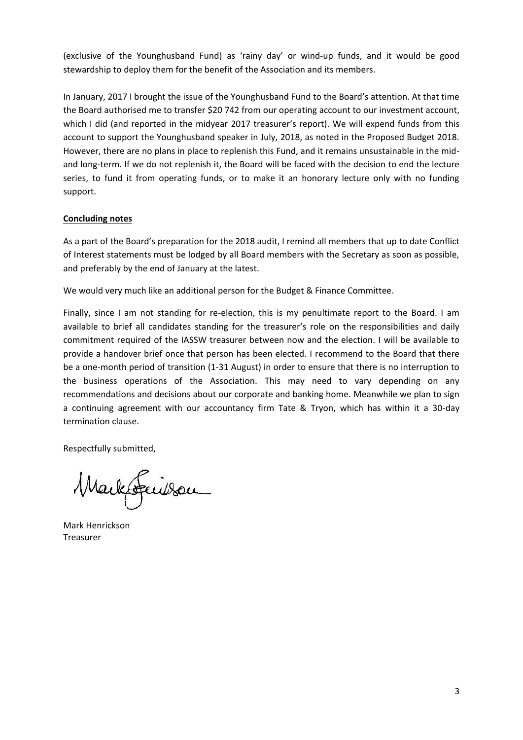(exclusive of the Younghusband Fund) as 'rainy day' or wind-up funds, and it would be good stewardship to deploy them for the benefit of the Association and its members.

In January, 2017 I brought the issue of the Younghusband Fund to the Board's attention. At that time the Board authorised me to transfer \$20 742 from our operating account to our investment account, which I did (and reported in the midyear 2017 treasurer's report). We will expend funds from this account to support the Younghusband speaker in July, 2018, as noted in the Proposed Budget 2018. However, there are no plans in place to replenish this Fund, and it remains unsustainable in the midand long-term. If we do not replenish it, the Board will be faced with the decision to end the lecture series, to fund it from operating funds, or to make it an honorary lecture only with no funding support.

#### **Concluding notes**

As a part of the Board's preparation for the 2018 audit, I remind all members that up to date Conflict of Interest statements must be lodged by all Board members with the Secretary as soon as possible, and preferably by the end of January at the latest.

We would very much like an additional person for the Budget & Finance Committee.

Finally, since I am not standing for re-election, this is my penultimate report to the Board. I am available to brief all candidates standing for the treasurer's role on the responsibilities and daily commitment required of the IASSW treasurer between now and the election. I will be available to provide a handover brief once that person has been elected. I recommend to the Board that there be a one-month period of transition (1-31 August) in order to ensure that there is no interruption to the business operations of the Association. This may need to vary depending on any recommendations and decisions about our corporate and banking home. Meanwhile we plan to sign a continuing agreement with our accountancy firm Tate & Tryon, which has within it a 30-day termination clause.

Respectfully submitted,

Markteuilson

Mark Henrickson Treasurer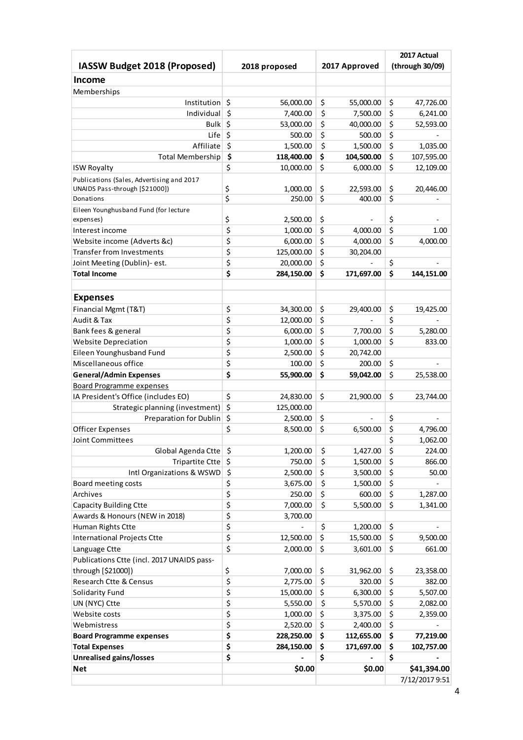|                                            |                  |                  | 2017 Actual |                 |
|--------------------------------------------|------------------|------------------|-------------|-----------------|
| IASSW Budget 2018 (Proposed)               | 2018 proposed    | 2017 Approved    |             | (through 30/09) |
| <b>Income</b>                              |                  |                  |             |                 |
| Memberships                                |                  |                  |             |                 |
| Institution                                | \$<br>56,000.00  | \$<br>55,000.00  | \$          | 47,726.00       |
| Individual                                 | \$<br>7,400.00   | \$<br>7,500.00   | \$          | 6,241.00        |
| <b>Bulk</b>                                | \$<br>53,000.00  | \$<br>40,000.00  | \$          | 52,593.00       |
| Life                                       | \$<br>500.00     | \$<br>500.00     | \$          |                 |
| Affiliate                                  | \$<br>1,500.00   | \$<br>1,500.00   | \$          | 1,035.00        |
| Total Membership                           | \$<br>118,400.00 | \$<br>104,500.00 | \$          | 107,595.00      |
| <b>ISW Royalty</b>                         | \$<br>10,000.00  | \$<br>6,000.00   | \$          | 12,109.00       |
| Publications (Sales, Advertising and 2017  |                  |                  |             |                 |
| UNAIDS Pass-through [\$21000])             | \$<br>1,000.00   | \$<br>22,593.00  | \$          | 20,446.00       |
| Donations                                  | \$<br>250.00     | \$<br>400.00     | \$          |                 |
| Eileen Younghusband Fund (for lecture      |                  |                  |             |                 |
| expenses)                                  | \$<br>2,500.00   | \$               | \$          |                 |
| Interest income                            | \$<br>1,000.00   | \$<br>4,000.00   | \$          | 1.00            |
| Website income (Adverts &c)                | \$<br>6,000.00   | \$<br>4,000.00   | \$          | 4,000.00        |
| <b>Transfer from Investments</b>           | \$<br>125,000.00 | \$<br>30,204.00  |             |                 |
| Joint Meeting (Dublin)- est.               | \$<br>20,000.00  | \$               | \$          |                 |
| <b>Total Income</b>                        | \$<br>284,150.00 | \$<br>171,697.00 | \$          | 144,151.00      |
|                                            |                  |                  |             |                 |
| <b>Expenses</b>                            |                  |                  |             |                 |
| Financial Mgmt (T&T)                       | \$<br>34,300.00  | \$<br>29,400.00  | \$          | 19,425.00       |
| Audit & Tax                                | \$<br>12,000.00  | \$               | \$          |                 |
|                                            | \$               | \$               | \$          |                 |
| Bank fees & general                        | 6,000.00         | 7,700.00         | \$          | 5,280.00        |
| <b>Website Depreciation</b>                | \$<br>1,000.00   | \$<br>1,000.00   |             | 833.00          |
| Eileen Younghusband Fund                   | \$<br>2,500.00   | \$<br>20,742.00  |             |                 |
| Miscellaneous office                       | \$<br>100.00     | \$<br>200.00     | \$          |                 |
| <b>General/Admin Expenses</b>              | \$<br>55,900.00  | \$<br>59,042.00  | \$          | 25,538.00       |
| <b>Board Programme expenses</b>            |                  |                  |             |                 |
| IA President's Office (includes EO)        | \$<br>24,830.00  | \$<br>21,900.00  | \$          | 23,744.00       |
| Strategic planning (investment)            | \$<br>125,000.00 |                  |             |                 |
| Preparation for Dublin                     | \$<br>2,500.00   | \$               | \$          |                 |
| <b>Officer Expenses</b>                    | \$<br>8,500.00   | \$<br>6,500.00   | \$          | 4,796.00        |
| <b>Joint Committees</b>                    |                  |                  | \$          | 1,062.00        |
| Global Agenda Ctte                         | \$<br>1,200.00   | \$<br>1,427.00   | \$          | 224.00          |
| Tripartite Ctte                            | \$<br>750.00     | \$<br>1,500.00   | \$          | 866.00          |
| Intl Organizations & WSWD                  | \$<br>2,500.00   | \$<br>3,500.00   | \$          | 50.00           |
| Board meeting costs                        | \$<br>3,675.00   | \$<br>1,500.00   | \$          |                 |
| Archives                                   | \$<br>250.00     | \$<br>600.00     | \$          | 1,287.00        |
| <b>Capacity Building Ctte</b>              | \$<br>7,000.00   | \$<br>5,500.00   | \$          | 1,341.00        |
| Awards & Honours (NEW in 2018)             | \$<br>3,700.00   |                  |             |                 |
| Human Rights Ctte                          | \$               | \$<br>1,200.00   | \$          |                 |
| <b>International Projects Ctte</b>         | \$<br>12,500.00  | \$<br>15,500.00  | \$          | 9,500.00        |
| Language Ctte                              | \$<br>2,000.00   | \$<br>3,601.00   | \$          | 661.00          |
| Publications Ctte (incl. 2017 UNAIDS pass- |                  |                  |             |                 |
| through [\$21000])                         | \$<br>7,000.00   | \$<br>31,962.00  | \$          | 23,358.00       |
| Research Ctte & Census                     | \$<br>2,775.00   | \$<br>320.00     | \$          | 382.00          |
| Solidarity Fund                            | \$<br>15,000.00  | \$<br>6,300.00   | \$          | 5,507.00        |
| UN (NYC) Ctte                              | \$<br>5,550.00   | \$<br>5,570.00   | \$          | 2,082.00        |
| Website costs                              | \$<br>1,000.00   | \$<br>3,375.00   | \$          | 2,359.00        |
| Webmistress                                | \$<br>2,520.00   | \$<br>2,400.00   | \$          |                 |
| <b>Board Programme expenses</b>            | \$<br>228,250.00 | \$<br>112,655.00 | \$          | 77,219.00       |
| <b>Total Expenses</b>                      | \$<br>284,150.00 | \$<br>171,697.00 | \$          | 102,757.00      |
| <b>Unrealised gains/losses</b>             | \$               | \$               | \$          |                 |
| <b>Net</b>                                 | \$0.00           | \$0.00           |             | \$41,394.00     |
|                                            |                  |                  |             | 7/12/2017 9:51  |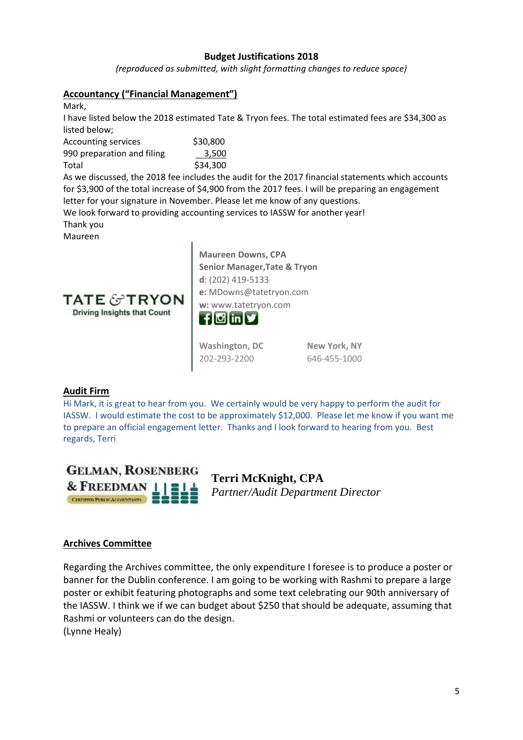# **Budget Justifications 2018**

*(reproduced as submitted, with slight formatting changes to reduce space)*

## **Accountancy ("Financial Management")**

Mark,

I have listed below the 2018 estimated Tate & Tryon fees. The total estimated fees are \$34,300 as listed below;

| <b>Accounting services</b> | \$30,800 |
|----------------------------|----------|
| 990 preparation and filing | 3,500    |
| Total                      | \$34,300 |

As we discussed, the 2018 fee includes the audit for the 2017 financial statements which accounts for \$3,900 of the total increase of \$4,900 from the 2017 fees. I will be preparing an engagement letter for your signature in November. Please let me know of any questions.

We look forward to providing accounting services to IASSW for another year!

Thank you

Maureen



**Maureen Downs, CPA Senior Manager,Tate & Tryon d**: (202) [419-5133](tel:(202)%20419-5133) **e:** [MDowns@tatetryon.com](mailto:MDowns@tatetryon.com) **w:** [www.tatetryon.com](http://www.tatetryon.com/)



**[Washington,](https://www.google.com/maps/place/2021+L+St+NW+%23400,+Washington,+DC+20036/@38.9040204,-77.0478197,17z/data=!3m1!4b1!4m5!3m4!1s0x89b7b7b7657be759:0xd203851d64be497c!8m2!3d38.9040204!4d-77.045631?sa=X&ved=0ahUKEwjc3NrBvYnVAhUFND4KHaOuDJEQ8gEIITAA) DC** [202-293-2200](tel:202-293-2200)

**New [York,](https://www.google.com/maps/place/3+Columbus+Cir,+New+York,+NY+10019/@40.7668837,-73.9844328,17z/data=!3m1!4b1!4m5!3m4!1s0x89c258f7cfce53cb:0xf082eea3e08d50c!8m2!3d40.7668837!4d-73.9822441?sa=X&ved=0ahUKEwjSs7LovonVAhULbj4KHW4wD40Q8gEIITAA) NY** [646-455-1000](tel:646-455-1000)

## **Audit Firm**

Hi Mark, it is great to hear from you. We certainly would be very happy to perform the audit for IASSW. I would estimate the cost to be approximately \$12,000. Please let me know if you want me to prepare an official engagement letter. Thanks and I look forward to hearing from you. Best regards, Terri



**Terri McKnight, CPA** *Partner/Audit Department Director* 

## **Archives Committee**

Regarding the Archives committee, the only expenditure I foresee is to produce a poster or banner for the Dublin conference. I am going to be working with Rashmi to prepare a large poster or exhibit featuring photographs and some text celebrating our 90th anniversary of the IASSW. I think we if we can budget about \$250 that should be adequate, assuming that Rashmi or volunteers can do the design. (Lynne Healy)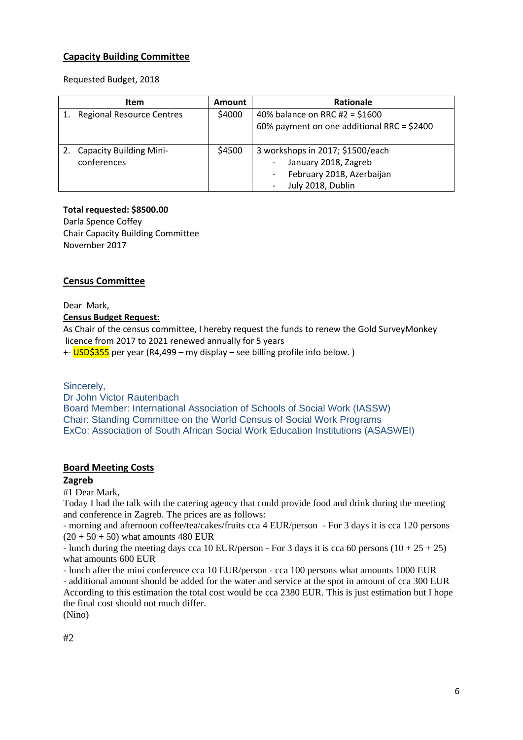# **Capacity Building Committee**

Requested Budget, 2018

|    | Item                                          | <b>Amount</b> | Rationale                                                                                                                              |
|----|-----------------------------------------------|---------------|----------------------------------------------------------------------------------------------------------------------------------------|
| 1. | <b>Regional Resource Centres</b>              | \$4000        | 40% balance on RRC #2 = $$1600$<br>60% payment on one additional RRC = \$2400                                                          |
| 2. | <b>Capacity Building Mini-</b><br>conferences | \$4500        | 3 workshops in 2017; \$1500/each<br>January 2018, Zagreb<br>February 2018, Azerbaijan<br>$\overline{\phantom{a}}$<br>July 2018, Dublin |

## **Total requested: \$8500.00**

Darla Spence Coffey Chair Capacity Building Committee November 2017

## **Census Committee**

Dear Mark, **Census Budget Request:**

As Chair of the census committee, I hereby request the funds to renew the Gold SurveyMonkey licence from 2017 to 2021 renewed annually for 5 years

+- USD\$355 per year (R4,499 – my display – see billing profile info below.)

## Sincerely,

Dr John Victor Rautenbach Board Member: International Association of Schools of Social Work (IASSW) Chair: Standing Committee on the World Census of Social Work Programs ExCo: Association of South African Social Work Education Institutions (ASASWEI)

## **Board Meeting Costs**

## **Zagreb**

#1 Dear Mark,

Today I had the talk with the catering agency that could provide food and drink during the meeting and conference in Zagreb. The prices are as follows:

- morning and afternoon coffee/tea/cakes/fruits cca 4 EUR/person - For 3 days it is cca 120 persons  $(20 + 50 + 50)$  what amounts 480 EUR

- lunch during the meeting days cca 10 EUR/person - For 3 days it is cca 60 persons  $(10 + 25 + 25)$ what amounts 600 EUR

- lunch after the mini conference cca 10 EUR/person - cca 100 persons what amounts 1000 EUR

- additional amount should be added for the water and service at the spot in amount of cca 300 EUR According to this estimation the total cost would be cca 2380 EUR. This is just estimation but I hope the final cost should not much differ.

(Nino)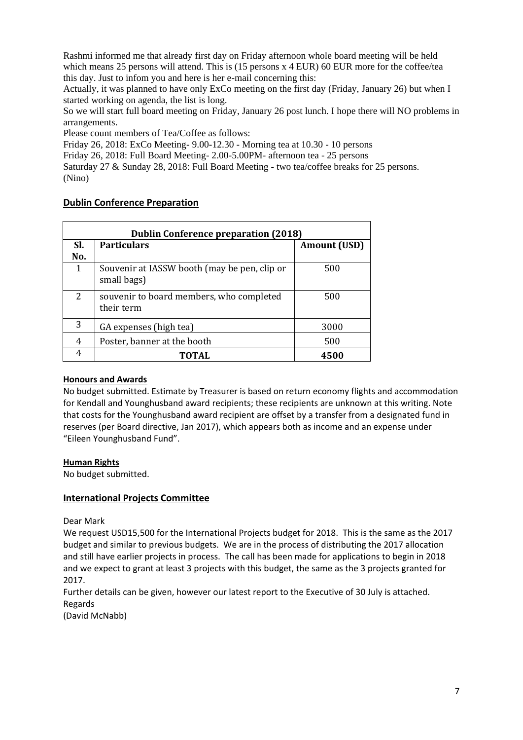Rashmi informed me that already first day on Friday afternoon whole board meeting will be held which means 25 persons will attend. This is (15 persons x 4 EUR) 60 EUR more for the coffee/tea this day. Just to infom you and here is her e-mail concerning this:

Actually, it was planned to have only ExCo meeting on the first day (Friday, January 26) but when I started working on agenda, the list is long.

So we will start full board meeting on Friday, January 26 post lunch. I hope there will NO problems in arrangements.

Please count members of Tea/Coffee as follows:

Friday 26, 2018: ExCo Meeting- 9.00-12.30 - Morning tea at 10.30 - 10 persons

Friday 26, 2018: Full Board Meeting- 2.00-5.00PM- afternoon tea - 25 persons

Saturday 27 & Sunday 28, 2018: Full Board Meeting - two tea/coffee breaks for 25 persons. (Nino)

## **Dublin Conference Preparation**

| <b>Dublin Conference preparation (2018)</b> |                                                             |                     |  |  |  |
|---------------------------------------------|-------------------------------------------------------------|---------------------|--|--|--|
| SI.                                         | <b>Particulars</b>                                          | <b>Amount (USD)</b> |  |  |  |
| No.                                         |                                                             |                     |  |  |  |
| $\mathbf{1}$                                | Souvenir at IASSW booth (may be pen, clip or<br>small bags) | 500                 |  |  |  |
| 2                                           | souvenir to board members, who completed<br>their term      | 500                 |  |  |  |
| 3                                           | GA expenses (high tea)                                      | 3000                |  |  |  |
| 4                                           | Poster, banner at the booth                                 | 500                 |  |  |  |
| 4                                           | TOTAL                                                       | 4500                |  |  |  |

#### **Honours and Awards**

No budget submitted. Estimate by Treasurer is based on return economy flights and accommodation for Kendall and Younghusband award recipients; these recipients are unknown at this writing. Note that costs for the Younghusband award recipient are offset by a transfer from a designated fund in reserves (per Board directive, Jan 2017), which appears both as income and an expense under "Eileen Younghusband Fund".

#### **Human Rights**

No budget submitted.

#### **International Projects Committee**

Dear Mark

We request USD15,500 for the International Projects budget for 2018. This is the same as the 2017 budget and similar to previous budgets. We are in the process of distributing the 2017 allocation and still have earlier projects in process. The call has been made for applications to begin in 2018 and we expect to grant at least 3 projects with this budget, the same as the 3 projects granted for 2017.

Further details can be given, however our latest report to the Executive of 30 July is attached. Regards

(David McNabb)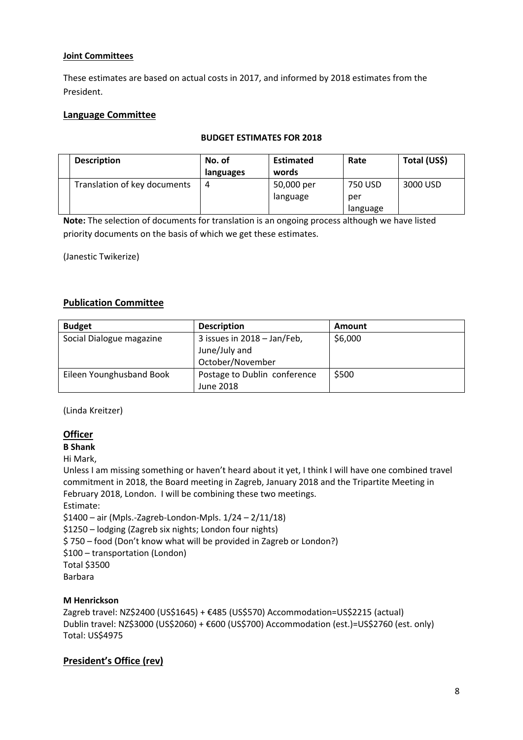## **Joint Committees**

These estimates are based on actual costs in 2017, and informed by 2018 estimates from the President.

# **Language Committee**

## **BUDGET ESTIMATES FOR 2018**

| <b>Description</b>           | No. of    | <b>Estimated</b> | Rate     | Total (US\$) |
|------------------------------|-----------|------------------|----------|--------------|
|                              | languages | words            |          |              |
| Translation of key documents | 4         | 50,000 per       | 750 USD  | 3000 USD     |
|                              |           | language         | per      |              |
|                              |           |                  | language |              |

**Note:** The selection of documents for translation is an ongoing process although we have listed priority documents on the basis of which we get these estimates.

(Janestic Twikerize)

# **Publication Committee**

| <b>Budget</b>            | <b>Description</b>           | <b>Amount</b> |
|--------------------------|------------------------------|---------------|
| Social Dialogue magazine | 3 issues in 2018 - Jan/Feb,  | \$6,000       |
|                          | June/July and                |               |
|                          | October/November             |               |
| Eileen Younghusband Book | Postage to Dublin conference | \$500         |
|                          | June 2018                    |               |

(Linda Kreitzer)

# **Officer**

**B Shank**

Hi Mark,

Unless I am missing something or haven't heard about it yet, I think I will have one combined travel commitment in 2018, the Board meeting in Zagreb, January 2018 and the Tripartite Meeting in February 2018, London. I will be combining these two meetings. Estimate:

\$1400 – air (Mpls.-Zagreb-London-Mpls. 1/24 – 2/11/18)

\$1250 – lodging (Zagreb six nights; London four nights)

\$ 750 – food (Don't know what will be provided in Zagreb or London?)

\$100 – transportation (London)

Total \$3500

Barbara

## **M Henrickson**

Zagreb travel: NZ\$2400 (US\$1645) + €485 (US\$570) Accommodation=US\$2215 (actual) Dublin travel: NZ\$3000 (US\$2060) + €600 (US\$700) Accommodation (est.)=US\$2760 (est. only) Total: US\$4975

# **President's Office (rev)**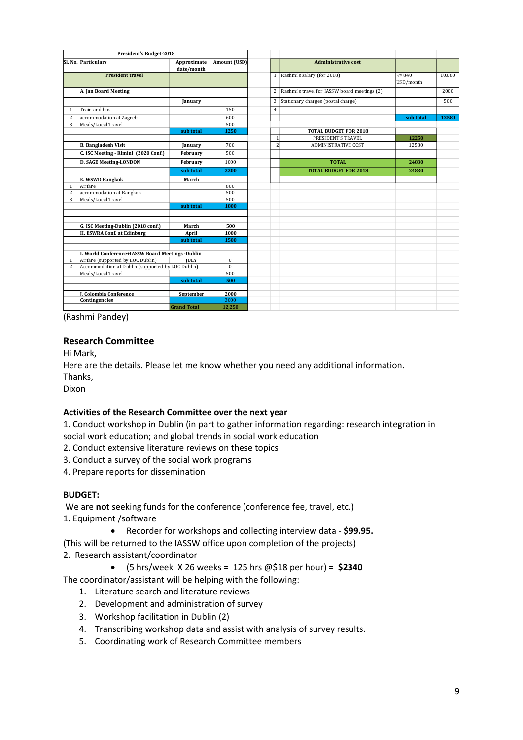|                | President's Budget-2018                           |                           |              |                |                                                |                   |        |
|----------------|---------------------------------------------------|---------------------------|--------------|----------------|------------------------------------------------|-------------------|--------|
|                | SI. No. Particulars                               | Approximate<br>date/month | Amount (USD) |                | <b>Administrative cost</b>                     |                   |        |
|                | <b>President travel</b>                           |                           |              |                | 1 Rashmi's salary (for 2018)                   | @840<br>USD/month | 10,080 |
|                | A. Jan Board Meeting                              |                           |              |                | 2 Rashmi's travel for IASSW board meetings (2) |                   | 2000   |
|                |                                                   | January                   |              | 3              | Stationary charges (postal charge)             |                   | 500    |
| 1              | Train and bus                                     |                           | 150          | $\overline{4}$ |                                                |                   |        |
| $\overline{2}$ | accommodation at Zagreb                           |                           | 600          |                |                                                | sub total         | 12580  |
| 3              | Meals/Local Travel                                |                           | 500          |                |                                                |                   |        |
|                |                                                   | sub total                 | 1250         |                | <b>TOTAL BUDGET FOR 2018</b>                   |                   |        |
|                |                                                   |                           |              | $\mathbf{1}$   | PRESIDENT'S TRAVEL                             | 12250             |        |
|                | <b>B.</b> Bangladesh Visit                        | January                   | 700          | $\overline{c}$ | <b>ADMINISTRATIVE COST</b>                     | 12580             |        |
|                | C. ISC Meeting - Rimini (2020 Conf.)              | February                  | 500          |                |                                                |                   |        |
|                | <b>D. SAGE Meeting-LONDON</b>                     | February                  | 1000         |                | TOTAL                                          | 24830             |        |
|                |                                                   | sub total                 | 2200         |                | <b>TOTAL BUDGET FOR 2018</b>                   | 24830             |        |
|                | E. WSWD Bangkok                                   | March                     |              |                |                                                |                   |        |
| $\mathbf{1}$   | Airfare                                           |                           | 800          |                |                                                |                   |        |
| $\overline{2}$ | accommodation at Bangkok                          |                           | 500          |                |                                                |                   |        |
| 3              | Meals/Local Travel                                |                           | 500          |                |                                                |                   |        |
|                |                                                   | sub total                 | 1800         |                |                                                |                   |        |
|                |                                                   |                           |              |                |                                                |                   |        |
|                |                                                   |                           |              |                |                                                |                   |        |
|                | G. ISC Meeting-Dublin (2018 conf.)                | March                     | 500          |                |                                                |                   |        |
|                | H. ESWRA Conf. at Edinburg                        | April                     | 1000         |                |                                                |                   |        |
|                |                                                   | sub total                 | 1500         |                |                                                |                   |        |
|                | I. World Conference+IASSW Board Meetings -Dublin  |                           |              |                |                                                |                   |        |
| $\mathbf{1}$   | Airfare (supported by LOC Dublin)                 | <b>IULY</b>               | $\mathbf{0}$ |                |                                                |                   |        |
| $\overline{2}$ | Accommodation at Dublin (supported by LOC Dublin) |                           | $\mathbf{0}$ |                |                                                |                   |        |
|                | Meals/Local Travel                                |                           | 500          |                |                                                |                   |        |
|                |                                                   | sub total                 | 500          |                |                                                |                   |        |
|                |                                                   |                           |              |                |                                                |                   |        |
|                | <b>I. Colombia Conference</b>                     | September                 | 2000         |                |                                                |                   |        |
|                | Contingencies                                     |                           | 3000         |                |                                                |                   |        |
|                |                                                   | <b>Grand Total</b>        | 12,250       |                |                                                |                   |        |

(Rashmi Pandey)

## **Research Committee**

Hi Mark,

Here are the details. Please let me know whether you need any additional information.

Thanks,

Dixon

## **Activities of the Research Committee over the next year**

1. Conduct workshop in Dublin (in part to gather information regarding: research integration in social work education; and global trends in social work education

- 2. Conduct extensive literature reviews on these topics
- 3. Conduct a survey of the social work programs
- 4. Prepare reports for dissemination

#### **BUDGET:**

We are **not** seeking funds for the conference (conference fee, travel, etc.) 1. Equipment /software

Recorder for workshops and collecting interview data - **\$99.95.** 

(This will be returned to the IASSW office upon completion of the projects) 2. Research assistant/coordinator

(5 hrs/week X 26 weeks = 125 hrs @\$18 per hour) = **\$2340**

The coordinator/assistant will be helping with the following:

- 1. Literature search and literature reviews
- 2. Development and administration of survey
- 3. Workshop facilitation in Dublin (2)
- 4. Transcribing workshop data and assist with analysis of survey results.
- 5. Coordinating work of Research Committee members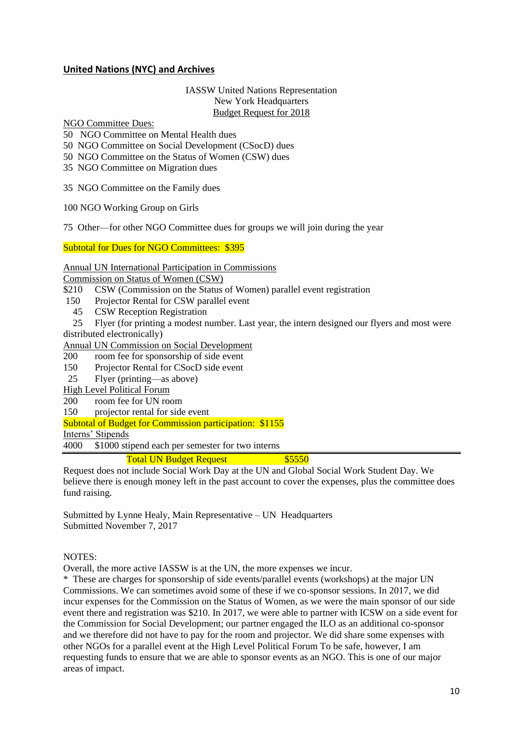## **United Nations (NYC) and Archives**

#### IASSW United Nations Representation New York Headquarters Budget Request for 2018

NGO Committee Dues:

- 50 NGO Committee on Mental Health dues
- 50 NGO Committee on Social Development (CSocD) dues
- 50 NGO Committee on the Status of Women (CSW) dues
- 35 NGO Committee on Migration dues

35 NGO Committee on the Family dues

100 NGO Working Group on Girls

75 Other—for other NGO Committee dues for groups we will join during the year

Subtotal for Dues for NGO Committees: \$395

Annual UN International Participation in Commissions

Commission on Status of Women (CSW)

- \$210 CSW (Commission on the Status of Women) parallel event registration
- 150 Projector Rental for CSW parallel event
- 45 CSW Reception Registration
- 25 Flyer (for printing a modest number. Last year, the intern designed our flyers and most were

distributed electronically)

Annual UN Commission on Social Development

- 200 room fee for sponsorship of side event
- 150 Projector Rental for CSocD side event
- 25 Flyer (printing—as above)
- High Level Political Forum
- 200 room fee for UN room
- 150 projector rental for side event

Subtotal of Budget for Commission participation: \$1155

Interns' Stipends

4000 \$1000 stipend each per semester for two interns

## Total UN Budget Request **\$5550**

Request does not include Social Work Day at the UN and Global Social Work Student Day. We believe there is enough money left in the past account to cover the expenses, plus the committee does fund raising.

Submitted by Lynne Healy, Main Representative – UN Headquarters Submitted November 7, 2017

#### NOTES:

Overall, the more active IASSW is at the UN, the more expenses we incur.

\* These are charges for sponsorship of side events/parallel events (workshops) at the major UN Commissions. We can sometimes avoid some of these if we co-sponsor sessions. In 2017, we did incur expenses for the Commission on the Status of Women, as we were the main sponsor of our side event there and registration was \$210. In 2017, we were able to partner with ICSW on a side event for the Commission for Social Development; our partner engaged the ILO as an additional co-sponsor and we therefore did not have to pay for the room and projector. We did share some expenses with other NGOs for a parallel event at the High Level Political Forum To be safe, however, I am requesting funds to ensure that we are able to sponsor events as an NGO. This is one of our major areas of impact.